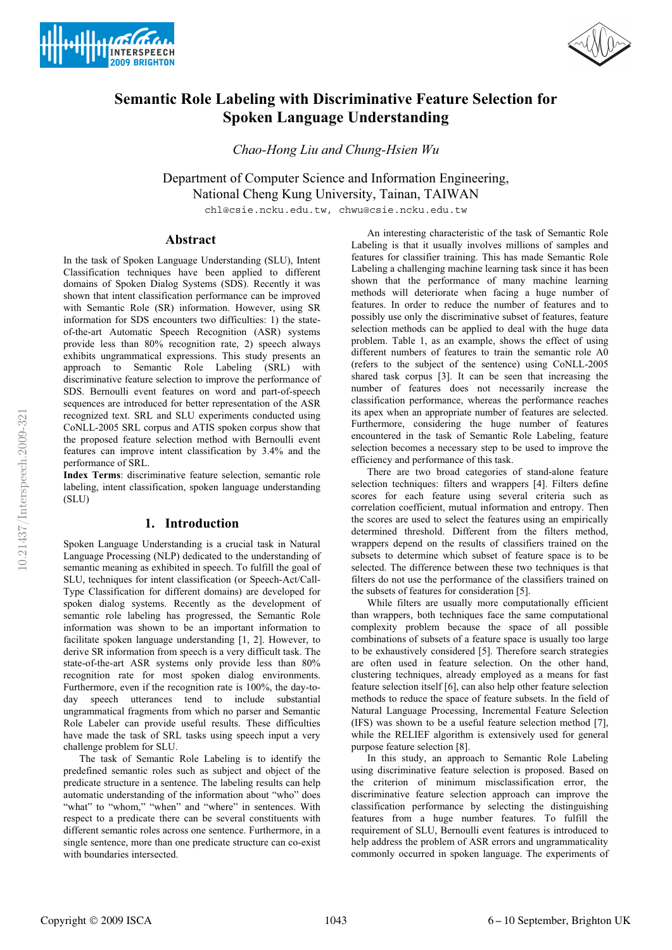



# **Semantic Role Labeling with Discriminative Feature Selection for Spoken Language Understanding**

*Chao-Hong Liu and Chung-Hsien Wu*

Department of Computer Science and Information Engineering, National Cheng Kung University, Tainan, TAIWAN

chl@csie.ncku.edu.tw, chwu@csie.ncku.edu.tw

# **Abstract**

In the task of Spoken Language Understanding (SLU), Intent Classification techniques have been applied to different domains of Spoken Dialog Systems (SDS). Recently it was shown that intent classification performance can be improved with Semantic Role (SR) information. However, using SR information for SDS encounters two difficulties: 1) the stateof-the-art Automatic Speech Recognition (ASR) systems provide less than 80% recognition rate, 2) speech always exhibits ungrammatical expressions. This study presents an approach to Semantic Role Labeling (SRL) with discriminative feature selection to improve the performance of SDS. Bernoulli event features on word and part-of-speech sequences are introduced for better representation of the ASR recognized text. SRL and SLU experiments conducted using CoNLL-2005 SRL corpus and ATIS spoken corpus show that the proposed feature selection method with Bernoulli event features can improve intent classification by 3.4% and the performance of SRL.

**Index Terms**: discriminative feature selection, semantic role labeling, intent classification, spoken language understanding (SLU)

# **1. Introduction**

Spoken Language Understanding is a crucial task in Natural Language Processing (NLP) dedicated to the understanding of semantic meaning as exhibited in speech. To fulfill the goal of SLU, techniques for intent classification (or Speech-Act/Call-Type Classification for different domains) are developed for spoken dialog systems. Recently as the development of semantic role labeling has progressed, the Semantic Role information was shown to be an important information to facilitate spoken language understanding [1, 2]. However, to derive SR information from speech is a very difficult task. The state-of-the-art ASR systems only provide less than 80% recognition rate for most spoken dialog environments. Furthermore, even if the recognition rate is 100%, the day-today speech utterances tend to include substantial ungrammatical fragments from which no parser and Semantic Role Labeler can provide useful results. These difficulties have made the task of SRL tasks using speech input a very challenge problem for SLU.

The task of Semantic Role Labeling is to identify the predefined semantic roles such as subject and object of the predicate structure in a sentence. The labeling results can help automatic understanding of the information about "who" does "what" to "whom," "when" and "where" in sentences. With respect to a predicate there can be several constituents with different semantic roles across one sentence. Furthermore, in a single sentence, more than one predicate structure can co-exist with boundaries intersected.

An interesting characteristic of the task of Semantic Role Labeling is that it usually involves millions of samples and features for classifier training. This has made Semantic Role Labeling a challenging machine learning task since it has been shown that the performance of many machine learning methods will deteriorate when facing a huge number of features. In order to reduce the number of features and to possibly use only the discriminative subset of features, feature selection methods can be applied to deal with the huge data problem. Table 1, as an example, shows the effect of using different numbers of features to train the semantic role A0 (refers to the subject of the sentence) using CoNLL-2005 shared task corpus [3]. It can be seen that increasing the number of features does not necessarily increase the classification performance, whereas the performance reaches its apex when an appropriate number of features are selected. Furthermore, considering the huge number of features encountered in the task of Semantic Role Labeling, feature selection becomes a necessary step to be used to improve the efficiency and performance of this task.

There are two broad categories of stand-alone feature selection techniques: filters and wrappers [4]. Filters define scores for each feature using several criteria such as correlation coefficient, mutual information and entropy. Then the scores are used to select the features using an empirically determined threshold. Different from the filters method, wrappers depend on the results of classifiers trained on the subsets to determine which subset of feature space is to be selected. The difference between these two techniques is that filters do not use the performance of the classifiers trained on the subsets of features for consideration [5].

While filters are usually more computationally efficient than wrappers, both techniques face the same computational complexity problem because the space of all possible combinations of subsets of a feature space is usually too large to be exhaustively considered [5]. Therefore search strategies are often used in feature selection. On the other hand, clustering techniques, already employed as a means for fast feature selection itself [6], can also help other feature selection methods to reduce the space of feature subsets. In the field of Natural Language Processing, Incremental Feature Selection (IFS) was shown to be a useful feature selection method [7], while the RELIEF algorithm is extensively used for general purpose feature selection [8].

In this study, an approach to Semantic Role Labeling using discriminative feature selection is proposed. Based on the criterion of minimum misclassification error, the discriminative feature selection approach can improve the classification performance by selecting the distinguishing features from a huge number features. To fulfill the requirement of SLU, Bernoulli event features is introduced to help address the problem of ASR errors and ungrammaticality commonly occurred in spoken language. The experiments of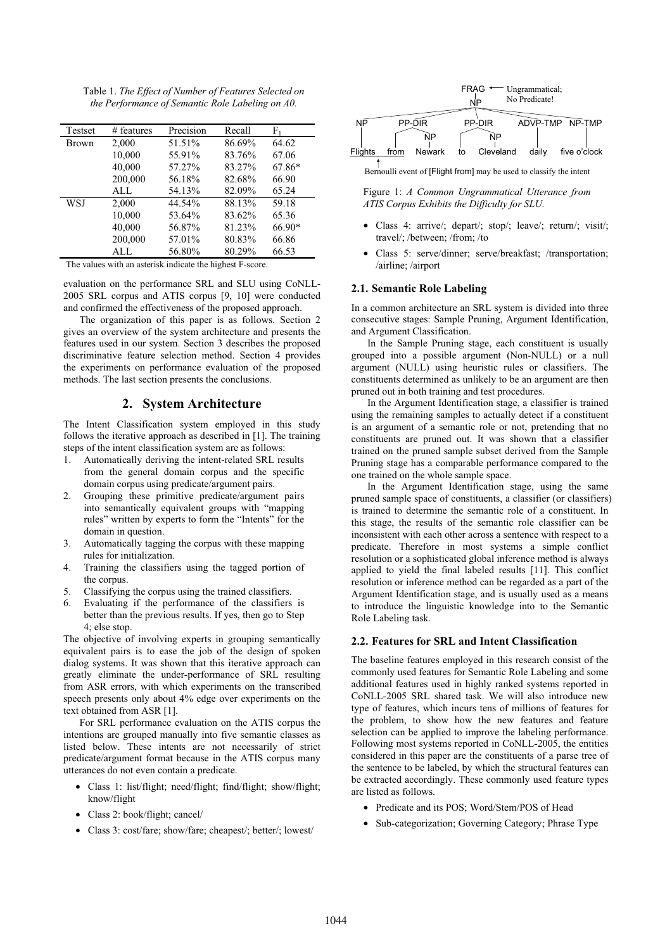Table 1. *The Effect of Number of Features Selected on the Performance of Semantic Role Labeling on A0.* 

| Testset      | $#$ features | Precision | Recall | F1     |
|--------------|--------------|-----------|--------|--------|
| <b>Brown</b> | 2,000        | 51.51%    | 86.69% | 64.62  |
|              | 10,000       | 55.91%    | 83.76% | 67.06  |
|              | 40,000       | 57.27%    | 83.27% | 67.86* |
|              | 200,000      | 56.18%    | 82.68% | 66.90  |
|              | ALL          | 54.13%    | 82.09% | 65.24  |
| WSJ          | 2,000        | 44.54%    | 88.13% | 59.18  |
|              | 10,000       | 53.64%    | 83.62% | 65.36  |
|              | 40,000       | 56.87%    | 81.23% | 66.90* |
|              | 200,000      | 57.01%    | 80.83% | 66.86  |
|              | ALL          | 56.80%    | 80.29% | 66.53  |

The values with an asterisk indicate the highest F-score.

evaluation on the performance SRL and SLU using CoNLL-2005 SRL corpus and ATIS corpus [9, 10] were conducted and confirmed the effectiveness of the proposed approach.

The organization of this paper is as follows. Section 2 gives an overview of the system architecture and presents the features used in our system. Section 3 describes the proposed discriminative feature selection method. Section 4 provides the experiments on performance evaluation of the proposed methods. The last section presents the conclusions.

# **2. System Architecture**

The Intent Classification system employed in this study follows the iterative approach as described in [1]. The training steps of the intent classification system are as follows:

- 1. Automatically deriving the intent-related SRL results from the general domain corpus and the specific domain corpus using predicate/argument pairs.
- 2. Grouping these primitive predicate/argument pairs into semantically equivalent groups with "mapping rules" written by experts to form the "Intents" for the domain in question.
- 3. Automatically tagging the corpus with these mapping rules for initialization.
- 4. Training the classifiers using the tagged portion of the corpus.
- 5. Classifying the corpus using the trained classifiers.
- 6. Evaluating if the performance of the classifiers is better than the previous results. If yes, then go to Step 4; else stop.

The objective of involving experts in grouping semantically equivalent pairs is to ease the job of the design of spoken dialog systems. It was shown that this iterative approach can greatly eliminate the under-performance of SRL resulting from ASR errors, with which experiments on the transcribed speech presents only about 4% edge over experiments on the text obtained from ASR [1].

For SRL performance evaluation on the ATIS corpus the intentions are grouped manually into five semantic classes as listed below. These intents are not necessarily of strict predicate/argument format because in the ATIS corpus many utterances do not even contain a predicate.

- Class 1: list/flight; need/flight; find/flight; show/flight; know/flight
- Class 2: book/flight; cancel/
- Class 3: cost/fare; show/fare; cheapest/; better/; lowest/



Bernoulli event of [Flight from] may be used to classify the intent

Figure 1: *A Common Ungrammatical Utterance from ATIS Corpus Exhibits the Difficulty for SLU.*

- Class 4: arrive/; depart/; stop/; leave/; return/; visit/; travel/; /between; /from; /to
- Class 5: serve/dinner; serve/breakfast; /transportation; /airline; /airport

#### **2.1. Semantic Role Labeling**

In a common architecture an SRL system is divided into three consecutive stages: Sample Pruning, Argument Identification, and Argument Classification.

In the Sample Pruning stage, each constituent is usually grouped into a possible argument (Non-NULL) or a null argument (NULL) using heuristic rules or classifiers. The constituents determined as unlikely to be an argument are then pruned out in both training and test procedures.

In the Argument Identification stage, a classifier is trained using the remaining samples to actually detect if a constituent is an argument of a semantic role or not, pretending that no constituents are pruned out. It was shown that a classifier trained on the pruned sample subset derived from the Sample Pruning stage has a comparable performance compared to the one trained on the whole sample space.

In the Argument Identification stage, using the same pruned sample space of constituents, a classifier (or classifiers) is trained to determine the semantic role of a constituent. In this stage, the results of the semantic role classifier can be inconsistent with each other across a sentence with respect to a predicate. Therefore in most systems a simple conflict resolution or a sophisticated global inference method is always applied to yield the final labeled results [11]. This conflict resolution or inference method can be regarded as a part of the Argument Identification stage, and is usually used as a means to introduce the linguistic knowledge into to the Semantic Role Labeling task.

#### **2.2. Features for SRL and Intent Classification**

The baseline features employed in this research consist of the commonly used features for Semantic Role Labeling and some additional features used in highly ranked systems reported in CoNLL-2005 SRL shared task. We will also introduce new type of features, which incurs tens of millions of features for the problem, to show how the new features and feature selection can be applied to improve the labeling performance. Following most systems reported in CoNLL-2005, the entities considered in this paper are the constituents of a parse tree of the sentence to be labeled, by which the structural features can be extracted accordingly. These commonly used feature types are listed as follows.

- Predicate and its POS; Word/Stem/POS of Head
- Sub-categorization; Governing Category; Phrase Type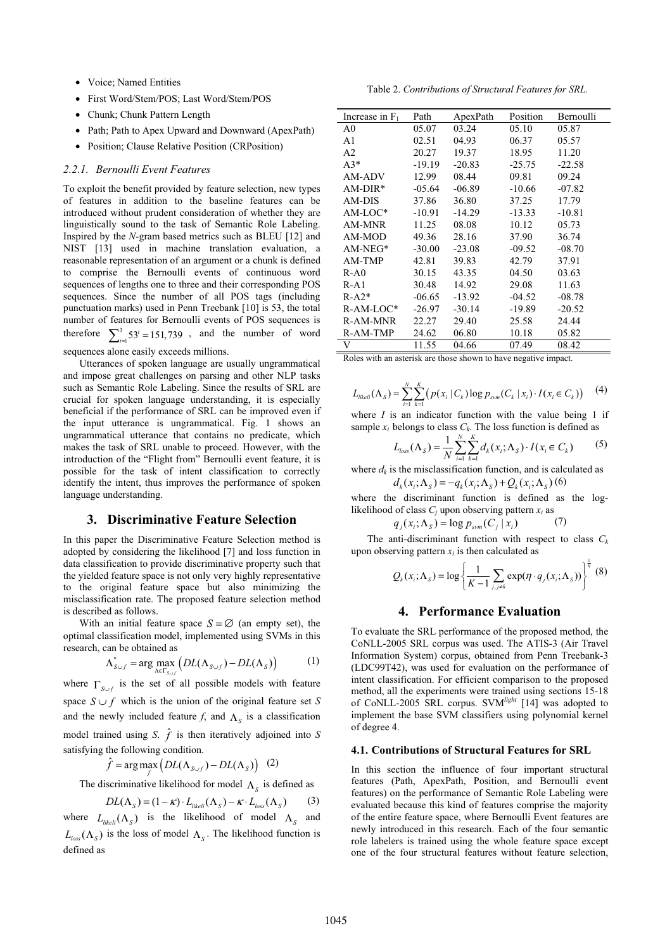- Voice; Named Entities
- First Word/Stem/POS; Last Word/Stem/POS
- Chunk; Chunk Pattern Length
- Path; Path to Apex Upward and Downward (ApexPath)
- Position: Clause Relative Position (CRPosition)

#### *2.2.1. Bernoulli Event Features*

To exploit the benefit provided by feature selection, new types of features in addition to the baseline features can be introduced without prudent consideration of whether they are linguistically sound to the task of Semantic Role Labeling. Inspired by the *N*-gram based metrics such as BLEU [12] and NIST [13] used in machine translation evaluation, a reasonable representation of an argument or a chunk is defined to comprise the Bernoulli events of continuous word sequences of lengths one to three and their corresponding POS sequences. Since the number of all POS tags (including punctuation marks) used in Penn Treebank [10] is 53, the total number of features for Bernoulli events of POS sequences is therefore  $\sum_{i=1}^{3} 53^{i} = 151,739$ , and the number of word sequences alone easily exceeds millions.

Utterances of spoken language are usually ungrammatical and impose great challenges on parsing and other NLP tasks such as Semantic Role Labeling. Since the results of SRL are crucial for spoken language understanding, it is especially beneficial if the performance of SRL can be improved even if the input utterance is ungrammatical. Fig. 1 shows an ungrammatical utterance that contains no predicate, which makes the task of SRL unable to proceed. However, with the introduction of the "Flight from" Bernoulli event feature, it is possible for the task of intent classification to correctly identify the intent, thus improves the performance of spoken language understanding.

#### **3. Discriminative Feature Selection**

In this paper the Discriminative Feature Selection method is adopted by considering the likelihood [7] and loss function in data classification to provide discriminative property such that the yielded feature space is not only very highly representative to the original feature space but also minimizing the misclassification rate. The proposed feature selection method is described as follows.

With an initial feature space  $S = \emptyset$  (an empty set), the optimal classification model, implemented using SVMs in this research, can be obtained as

$$
\Lambda_{S \cup f}^* = \arg \max_{\Lambda \in \Gamma_{S \cup f}} \left( DL(\Lambda_{S \cup f}) - DL(\Lambda_S) \right) \tag{1}
$$

where  $\Gamma_{S \cup f}$  is the set of all possible models with feature space  $S \cup f$  which is the union of the original feature set *S* and the newly included feature *f*, and  $\Lambda_s$  is a classification model trained using *S*.  $\hat{f}$  is then iteratively adjoined into *S* satisfying the following condition.

 $\hat{f} = \arg \max_{f} \left( DL(\Lambda_{S \cup f}) - DL(\Lambda_{S}) \right)$  (2)

The discriminative likelihood for model  $\Lambda_s$  is defined as

$$
DL(\Lambda_{S}) = (1 - \kappa) \cdot L_{likelihood}(\Lambda_{S}) - \kappa \cdot L_{loss}(\Lambda_{S})
$$
 (3)

where  $L_{likelihood}(\Lambda_{S})$  is the likelihood of model  $\Lambda_{S}$  and  $L_{loss}(\Lambda_{\rm S})$  is the loss of model  $\Lambda_{\rm S}$ . The likelihood function is defined as

Table 2. *Contributions of Structural Features for SRL.* 

| Increase in $F_1$ | Path     | ApexPath | Position | Bernoulli |
|-------------------|----------|----------|----------|-----------|
| A0                | 05.07    | 03.24    | 05.10    | 05.87     |
| A1                | 02.51    | 04.93    | 06.37    | 05.57     |
| A2                | 20.27    | 19.37    | 18.95    | 11.20     |
| $A3*$             | $-19.19$ | $-20.83$ | $-25.75$ | $-22.58$  |
| AM-ADV            | 12.99    | 08.44    | 09.81    | 09.24     |
| $AM-DIR*$         | $-05.64$ | $-06.89$ | $-10.66$ | $-07.82$  |
| AM-DIS            | 37.86    | 36.80    | 37.25    | 17.79     |
| $AM-LOC*$         | $-10.91$ | $-14.29$ | $-13.33$ | $-10.81$  |
| AM-MNR            | 11.25    | 08.08    | 10.12    | 05.73     |
| AM-MOD            | 49.36    | 28.16    | 37.90    | 36.74     |
| $AM-NEG*$         | $-30.00$ | $-23.08$ | $-09.52$ | $-08.70$  |
| AM-TMP            | 42.81    | 39.83    | 42.79    | 37.91     |
| $R-A0$            | 30.15    | 43.35    | 04.50    | 03.63     |
| $R - A1$          | 30.48    | 14.92    | 29.08    | 11.63     |
| $R-A2*$           | $-06.65$ | $-13.92$ | $-04.52$ | $-08.78$  |
| R-AM-LOC*         | $-26.97$ | $-30.14$ | -19.89   | $-20.52$  |
| R-AM-MNR          | 22.27    | 29.40    | 25.58    | 24.44     |
| R-AM-TMP          | 24.62    | 06.80    | 10.18    | 05.82     |
| V                 | 11.55    | 04.66    | 07.49    | 08.42     |

Roles with an asterisk are those shown to have negative impact.

$$
L_{likelihood}(\Lambda_S) = \sum_{i=1}^{N} \sum_{k=1}^{K} (p(x_i | C_k) \log p_{sym}(C_k | x_i) \cdot I(x_i \in C_k)) \quad (4)
$$

where *I* is an indicator function with the value being 1 if sample  $x_i$  belongs to class  $C_k$ . The loss function is defined as

$$
L_{loss}(\Lambda_S) = \frac{1}{N} \sum_{i=1}^{N} \sum_{k=1}^{K} d_k(x_i; \Lambda_S) \cdot I(x_i \in C_k)
$$
 (5)

where  $d_k$  is the misclassification function, and is calculated as

$$
d_k(x_i; \Lambda_s) = -q_k(x_i; \Lambda_s) + Q_k(x_i; \Lambda_s)
$$
 (6)

where the discriminant function is defined as the loglikelihood of class  $C_i$  upon observing pattern  $x_i$  as

$$
q_j(x_i; \Lambda_s) = \log p_{sym}(C_j | x_i)
$$
 (7)

The anti-discriminant function with respect to class  $C_k$ upon observing pattern  $x_i$  is then calculated as

$$
Q_k(x_i; \Lambda_s) = \log \left\{ \frac{1}{K - 1} \sum_{j, j \neq k} \exp(\eta \cdot q_j(x_i; \Lambda_s)) \right\}^{\frac{1}{\eta}}
$$
(8)

#### **4. Performance Evaluation**

To evaluate the SRL performance of the proposed method, the CoNLL-2005 SRL corpus was used. The ATIS-3 (Air Travel Information System) corpus, obtained from Penn Treebank-3 (LDC99T42), was used for evaluation on the performance of intent classification. For efficient comparison to the proposed method, all the experiments were trained using sections 15-18 of CoNLL-2005 SRL corpus. SVM*light* [14] was adopted to implement the base SVM classifiers using polynomial kernel of degree 4.

#### **4.1. Contributions of Structural Features for SRL**

In this section the influence of four important structural features (Path, ApexPath, Position, and Bernoulli event features) on the performance of Semantic Role Labeling were evaluated because this kind of features comprise the majority of the entire feature space, where Bernoulli Event features are newly introduced in this research. Each of the four semantic role labelers is trained using the whole feature space except one of the four structural features without feature selection,